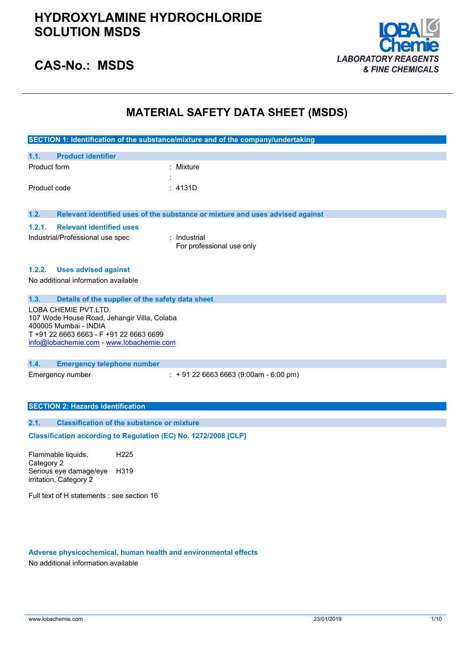

### **CAS-No.: MSDS**

### **MATERIAL SAFETY DATA SHEET (MSDS)**

|                                       |                                                                      | SECTION 1: Identification of the substance/mixture and of the company/undertaking |  |
|---------------------------------------|----------------------------------------------------------------------|-----------------------------------------------------------------------------------|--|
|                                       |                                                                      |                                                                                   |  |
| 1.1.                                  | <b>Product identifier</b>                                            |                                                                                   |  |
| Product form                          |                                                                      | : Mixture                                                                         |  |
|                                       |                                                                      |                                                                                   |  |
| Product code                          |                                                                      | : 4131D                                                                           |  |
|                                       |                                                                      |                                                                                   |  |
| 1.2.                                  |                                                                      | Relevant identified uses of the substance or mixture and uses advised against     |  |
| 1.2.1.                                | <b>Relevant identified uses</b>                                      |                                                                                   |  |
|                                       | Industrial/Professional use spec                                     | : Industrial                                                                      |  |
|                                       |                                                                      | For professional use only                                                         |  |
|                                       |                                                                      |                                                                                   |  |
| 1.2.2.                                | <b>Uses advised against</b>                                          |                                                                                   |  |
|                                       | No additional information available                                  |                                                                                   |  |
|                                       |                                                                      |                                                                                   |  |
| 1.3.                                  | Details of the supplier of the safety data sheet                     |                                                                                   |  |
|                                       | LOBA CHEMIE PVT.LTD.                                                 |                                                                                   |  |
|                                       | 107 Wode House Road, Jehangir Villa, Colaba<br>400005 Mumbai - INDIA |                                                                                   |  |
| T+91 22 6663 6663 - F+91 22 6663 6699 |                                                                      |                                                                                   |  |
|                                       | info@lobachemie.com - www.lobachemie.com                             |                                                                                   |  |
|                                       |                                                                      |                                                                                   |  |
| 1.4.                                  | <b>Emergency telephone number</b>                                    |                                                                                   |  |
|                                       | Emergency number                                                     | $\div$ + 91 22 6663 6663 (9:00am - 6:00 pm)                                       |  |
|                                       |                                                                      |                                                                                   |  |
|                                       |                                                                      |                                                                                   |  |
|                                       | <b>SECTION 2: Hazards identification</b>                             |                                                                                   |  |
| 2.1.                                  | <b>Classification of the substance or mixture</b>                    |                                                                                   |  |
|                                       | Classification according to Regulation (EC) No. 1272/2008 [CLP]      |                                                                                   |  |

Flammable liquids, Category 2 H225 Serious eye damage/eye H319 irritation, Category 2

Full text of H statements : see section 16

#### **Adverse physicochemical, human health and environmental effects**

No additional information available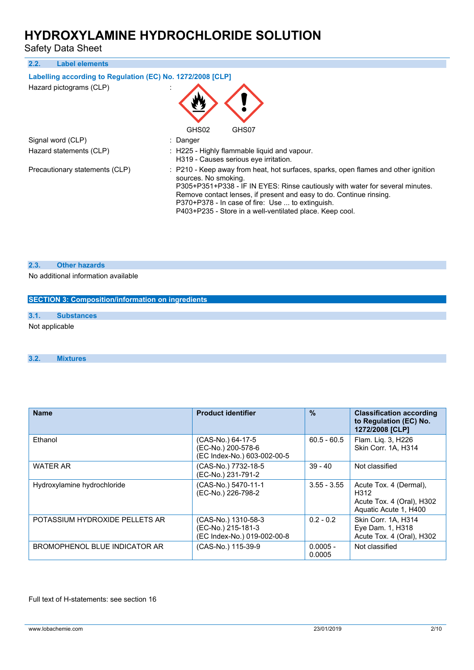Safety Data Sheet

| 2.2.<br><b>Label elements</b>                              |                                                                                                                                                                                                                                                                                                                                                                                    |
|------------------------------------------------------------|------------------------------------------------------------------------------------------------------------------------------------------------------------------------------------------------------------------------------------------------------------------------------------------------------------------------------------------------------------------------------------|
| Labelling according to Regulation (EC) No. 1272/2008 [CLP] |                                                                                                                                                                                                                                                                                                                                                                                    |
| Hazard pictograms (CLP)                                    | GHS02<br>GHS07                                                                                                                                                                                                                                                                                                                                                                     |
| Signal word (CLP)                                          | : Danger                                                                                                                                                                                                                                                                                                                                                                           |
| Hazard statements (CLP)                                    | : H225 - Highly flammable liquid and vapour.<br>H319 - Causes serious eye irritation.                                                                                                                                                                                                                                                                                              |
| Precautionary statements (CLP)                             | : P210 - Keep away from heat, hot surfaces, sparks, open flames and other ignition<br>sources. No smoking.<br>P305+P351+P338 - IF IN EYES: Rinse cautiously with water for several minutes.<br>Remove contact lenses, if present and easy to do. Continue rinsing.<br>P370+P378 - In case of fire: Use  to extinguish.<br>P403+P235 - Store in a well-ventilated place. Keep cool. |

#### **2.3. Other hazards**

No additional information available

| SECTION 3: Composition/information on ingredients |                   |  |  |  |
|---------------------------------------------------|-------------------|--|--|--|
|                                                   |                   |  |  |  |
| 3.1.                                              | <b>Substances</b> |  |  |  |
| Not applicable                                    |                   |  |  |  |
|                                                   |                   |  |  |  |

#### **3.2. Mixtures**

| <b>Name</b>                    | <b>Product identifier</b>                                                | $\frac{9}{6}$        | <b>Classification according</b><br>to Regulation (EC) No.<br>1272/2008 [CLP]         |
|--------------------------------|--------------------------------------------------------------------------|----------------------|--------------------------------------------------------------------------------------|
| Ethanol                        | (CAS-No.) 64-17-5<br>(EC-No.) 200-578-6<br>(EC Index-No.) 603-002-00-5   | $60.5 - 60.5$        | Flam. Liq. 3, H226<br>Skin Corr. 1A, H314                                            |
| <b>WATER AR</b>                | (CAS-No.) 7732-18-5<br>(EC-No.) 231-791-2                                | $39 - 40$            | Not classified                                                                       |
| Hydroxylamine hydrochloride    | (CAS-No.) 5470-11-1<br>(EC-No.) 226-798-2                                | $3.55 - 3.55$        | Acute Tox. 4 (Dermal),<br>H312<br>Acute Tox. 4 (Oral), H302<br>Aquatic Acute 1, H400 |
| POTASSIUM HYDROXIDE PELLETS AR | (CAS-No.) 1310-58-3<br>(EC-No.) 215-181-3<br>(EC Index-No.) 019-002-00-8 | $0.2 - 0.2$          | Skin Corr. 1A, H314<br>Eye Dam. 1, H318<br>Acute Tox. 4 (Oral), H302                 |
| BROMOPHENOL BLUE INDICATOR AR  | (CAS-No.) 115-39-9                                                       | $0.0005 -$<br>0.0005 | Not classified                                                                       |

Full text of H-statements: see section 16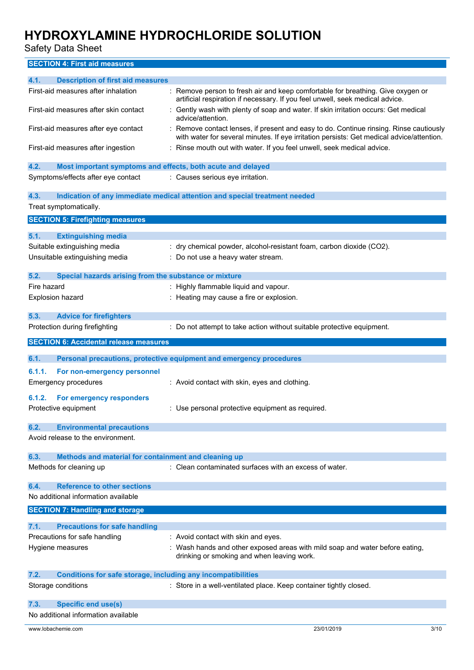Safety Data Sheet

### **SECTION 4: First aid measures**

| 4.1.<br><b>Description of first aid measures</b>                            |                                                                                                                                                                                   |      |
|-----------------------------------------------------------------------------|-----------------------------------------------------------------------------------------------------------------------------------------------------------------------------------|------|
| First-aid measures after inhalation                                         | : Remove person to fresh air and keep comfortable for breathing. Give oxygen or<br>artificial respiration if necessary. If you feel unwell, seek medical advice.                  |      |
| First-aid measures after skin contact                                       | Gently wash with plenty of soap and water. If skin irritation occurs: Get medical<br>advice/attention.                                                                            |      |
| First-aid measures after eye contact                                        | Remove contact lenses, if present and easy to do. Continue rinsing. Rinse cautiously<br>with water for several minutes. If eye irritation persists: Get medical advice/attention. |      |
| First-aid measures after ingestion                                          | Rinse mouth out with water. If you feel unwell, seek medical advice.                                                                                                              |      |
| 4.2.<br>Most important symptoms and effects, both acute and delayed         |                                                                                                                                                                                   |      |
| Symptoms/effects after eye contact                                          | : Causes serious eye irritation.                                                                                                                                                  |      |
| 4.3.                                                                        | Indication of any immediate medical attention and special treatment needed                                                                                                        |      |
| Treat symptomatically.                                                      |                                                                                                                                                                                   |      |
| <b>SECTION 5: Firefighting measures</b>                                     |                                                                                                                                                                                   |      |
|                                                                             |                                                                                                                                                                                   |      |
| 5.1.<br><b>Extinguishing media</b>                                          |                                                                                                                                                                                   |      |
| Suitable extinguishing media                                                | : dry chemical powder, alcohol-resistant foam, carbon dioxide (CO2).                                                                                                              |      |
| Unsuitable extinguishing media                                              | : Do not use a heavy water stream.                                                                                                                                                |      |
| 5.2.<br>Special hazards arising from the substance or mixture               |                                                                                                                                                                                   |      |
| Fire hazard                                                                 | : Highly flammable liquid and vapour.                                                                                                                                             |      |
| Explosion hazard                                                            | : Heating may cause a fire or explosion.                                                                                                                                          |      |
|                                                                             |                                                                                                                                                                                   |      |
| 5.3.<br><b>Advice for firefighters</b>                                      |                                                                                                                                                                                   |      |
| Protection during firefighting                                              | : Do not attempt to take action without suitable protective equipment.                                                                                                            |      |
| <b>SECTION 6: Accidental release measures</b>                               |                                                                                                                                                                                   |      |
|                                                                             |                                                                                                                                                                                   |      |
| 6.1.                                                                        | Personal precautions, protective equipment and emergency procedures                                                                                                               |      |
| 6.1.1.<br>For non-emergency personnel                                       |                                                                                                                                                                                   |      |
| <b>Emergency procedures</b>                                                 | : Avoid contact with skin, eyes and clothing.                                                                                                                                     |      |
| 6.1.2.<br>For emergency responders                                          |                                                                                                                                                                                   |      |
| Protective equipment                                                        | : Use personal protective equipment as required.                                                                                                                                  |      |
|                                                                             |                                                                                                                                                                                   |      |
| 6.2.<br><b>Environmental precautions</b>                                    |                                                                                                                                                                                   |      |
| Avoid release to the environment.                                           |                                                                                                                                                                                   |      |
|                                                                             |                                                                                                                                                                                   |      |
| 6.3.<br>Methods and material for containment and cleaning up                |                                                                                                                                                                                   |      |
| Methods for cleaning up                                                     | : Clean contaminated surfaces with an excess of water.                                                                                                                            |      |
| <b>Reference to other sections</b><br>6.4.                                  |                                                                                                                                                                                   |      |
| No additional information available                                         |                                                                                                                                                                                   |      |
| <b>SECTION 7: Handling and storage</b>                                      |                                                                                                                                                                                   |      |
|                                                                             |                                                                                                                                                                                   |      |
| <b>Precautions for safe handling</b><br>7.1.                                |                                                                                                                                                                                   |      |
| Precautions for safe handling                                               | : Avoid contact with skin and eyes.                                                                                                                                               |      |
| Hygiene measures                                                            | : Wash hands and other exposed areas with mild soap and water before eating,<br>drinking or smoking and when leaving work.                                                        |      |
| 7.2.<br><b>Conditions for safe storage, including any incompatibilities</b> |                                                                                                                                                                                   |      |
| Storage conditions                                                          | : Store in a well-ventilated place. Keep container tightly closed.                                                                                                                |      |
|                                                                             |                                                                                                                                                                                   |      |
| <b>Specific end use(s)</b><br>7.3.                                          |                                                                                                                                                                                   |      |
| No additional information available                                         |                                                                                                                                                                                   |      |
| www.lobachemie.com                                                          | 23/01/2019                                                                                                                                                                        | 3/10 |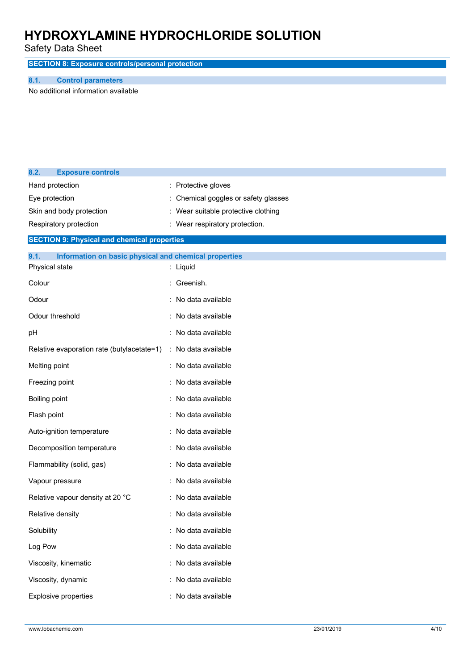Safety Data Sheet

**SECTION 8: Exposure controls/personal protection**

#### **8.1. Control parameters**

No additional information available

| 8.2.                     | <b>Exposure controls</b>                              |                                    |
|--------------------------|-------------------------------------------------------|------------------------------------|
|                          | Hand protection                                       | : Protective gloves                |
| Eye protection           |                                                       | Chemical goggles or safety glasses |
| Skin and body protection |                                                       | Wear suitable protective clothing  |
|                          | Respiratory protection                                | : Wear respiratory protection.     |
|                          | <b>SECTION 9: Physical and chemical properties</b>    |                                    |
| 9.1.                     | Information on basic physical and chemical properties |                                    |
|                          | Physical state                                        | : Liquid                           |
| Colour                   |                                                       | : Greenish.                        |
| Odour                    |                                                       | : No data available                |
|                          | Odour threshold                                       | : No data available                |
| pH                       |                                                       | : No data available                |
|                          | Relative evaporation rate (butylacetate=1)            | : No data available                |
| Melting point            |                                                       | : No data available                |
|                          | Freezing point                                        | : No data available                |
| Boiling point            |                                                       | : No data available                |
| Flash point              |                                                       | : No data available                |
|                          | Auto-ignition temperature                             | : No data available                |
|                          | Decomposition temperature                             | : No data available                |
|                          | Flammability (solid, gas)                             | : No data available                |
|                          | Vapour pressure                                       | : No data available                |
|                          | Relative vapour density at 20 °C                      | : No data available                |
| Relative density         |                                                       | No data available                  |
| Solubility               |                                                       | : No data available                |
| Log Pow                  |                                                       | : No data available                |
| Viscosity, kinematic     |                                                       | : No data available                |
| Viscosity, dynamic       |                                                       | : No data available                |
| Explosive properties     |                                                       | : No data available                |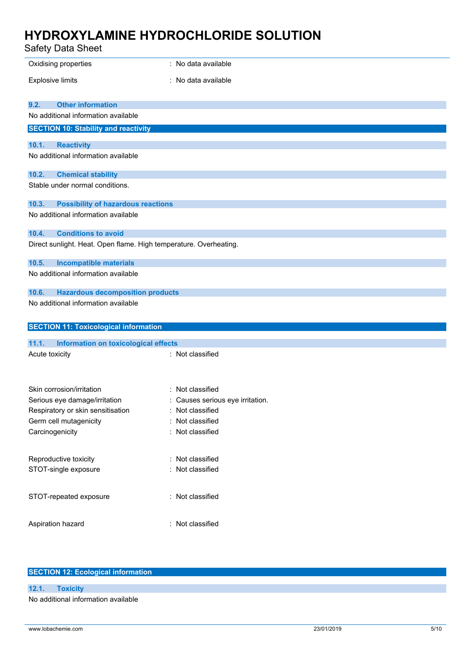Safety Data Sheet

| Oxidising properties                                              | : No data available              |
|-------------------------------------------------------------------|----------------------------------|
|                                                                   |                                  |
| <b>Explosive limits</b>                                           | : No data available              |
|                                                                   |                                  |
| <b>Other information</b><br>9.2.                                  |                                  |
| No additional information available                               |                                  |
| <b>SECTION 10: Stability and reactivity</b>                       |                                  |
| 10.1.<br><b>Reactivity</b>                                        |                                  |
| No additional information available                               |                                  |
| 10.2.<br><b>Chemical stability</b>                                |                                  |
| Stable under normal conditions.                                   |                                  |
| <b>Possibility of hazardous reactions</b><br>10.3.                |                                  |
| No additional information available                               |                                  |
| 10.4.<br><b>Conditions to avoid</b>                               |                                  |
| Direct sunlight. Heat. Open flame. High temperature. Overheating. |                                  |
| 10.5.<br><b>Incompatible materials</b>                            |                                  |
| No additional information available                               |                                  |
| <b>Hazardous decomposition products</b><br>10.6.                  |                                  |
| No additional information available                               |                                  |
|                                                                   |                                  |
| <b>SECTION 11: Toxicological information</b>                      |                                  |
| 11.1.<br><b>Information on toxicological effects</b>              |                                  |
| Acute toxicity                                                    | : Not classified                 |
|                                                                   |                                  |
|                                                                   |                                  |
| Skin corrosion/irritation                                         | : Not classified                 |
| Serious eye damage/irritation                                     | : Causes serious eye irritation. |
| Respiratory or skin sensitisation                                 | : Not classified                 |
| Germ cell mutagenicity                                            | : Not classified                 |
| Carcinogenicity                                                   | : Not classified                 |
|                                                                   |                                  |
| Reproductive toxicity                                             | : Not classified                 |
| STOT-single exposure                                              | : Not classified                 |
|                                                                   |                                  |
| STOT-repeated exposure                                            | : Not classified                 |
|                                                                   |                                  |
|                                                                   |                                  |
|                                                                   |                                  |
| Aspiration hazard                                                 | : Not classified                 |

### **SECTION 12: Ecological information**

**12.1. Toxicity** No additional information available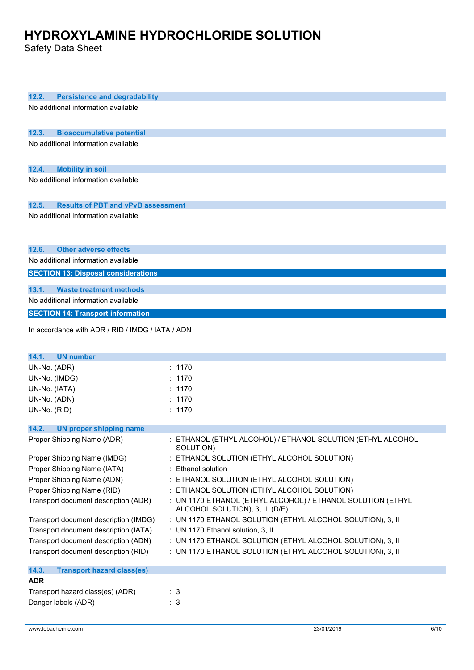Safety Data Sheet

| 12.2.<br><b>Persistence and degradability</b>      |                                                             |
|----------------------------------------------------|-------------------------------------------------------------|
| No additional information available                |                                                             |
|                                                    |                                                             |
|                                                    |                                                             |
| 12.3.<br><b>Bioaccumulative potential</b>          |                                                             |
| No additional information available                |                                                             |
|                                                    |                                                             |
|                                                    |                                                             |
| 12.4.<br><b>Mobility in soil</b>                   |                                                             |
| No additional information available                |                                                             |
|                                                    |                                                             |
| 12.5.<br><b>Results of PBT and vPvB assessment</b> |                                                             |
| No additional information available                |                                                             |
|                                                    |                                                             |
|                                                    |                                                             |
|                                                    |                                                             |
| 12.6.<br><b>Other adverse effects</b>              |                                                             |
| No additional information available                |                                                             |
| <b>SECTION 13: Disposal considerations</b>         |                                                             |
|                                                    |                                                             |
| <b>Waste treatment methods</b><br>13.1.            |                                                             |
| No additional information available                |                                                             |
| <b>SECTION 14: Transport information</b>           |                                                             |
|                                                    |                                                             |
| In accordance with ADR / RID / IMDG / IATA / ADN   |                                                             |
|                                                    |                                                             |
| 14.1.<br><b>UN number</b>                          |                                                             |
| UN-No. (ADR)                                       | : 1170                                                      |
| UN-No. (IMDG)                                      | : 1170                                                      |
| UN-No. (IATA)                                      | : 1170                                                      |
| UN-No. (ADN)                                       | : 1170                                                      |
|                                                    |                                                             |
| UN-No. (RID)                                       | : 1170                                                      |
| 14.2.<br><b>UN proper shipping name</b>            |                                                             |
| Proper Shipping Name (ADR)                         | : ETHANOL (ETHYL ALCOHOL) / ETHANOL SOLUTION (ETHYL ALCOHOL |
|                                                    | SOLUTION)                                                   |
| Proper Shipping Name (IMDG)                        | ETHANOL SOLUTION (ETHYL ALCOHOL SOLUTION)                   |
| Proper Shipping Name (IATA)                        | : Ethanol solution                                          |
| Proper Shipping Name (ADN)                         | : ETHANOL SOLUTION (ETHYL ALCOHOL SOLUTION)                 |
| Proper Shipping Name (RID)                         | : ETHANOL SOLUTION (ETHYL ALCOHOL SOLUTION)                 |
| Transport document description (ADR)               | : UN 1170 ETHANOL (ETHYL ALCOHOL) / ETHANOL SOLUTION (ETHYL |
|                                                    | ALCOHOL SOLUTION), 3, II, (D/E)                             |
| Transport document description (IMDG)              | : UN 1170 ETHANOL SOLUTION (ETHYL ALCOHOL SOLUTION), 3, II  |
| Transport document description (IATA)              | : UN 1170 Ethanol solution, 3, II                           |
|                                                    |                                                             |
| Transport document description (ADN)               | : UN 1170 ETHANOL SOLUTION (ETHYL ALCOHOL SOLUTION), 3, II  |
| Transport document description (RID)               | : UN 1170 ETHANOL SOLUTION (ETHYL ALCOHOL SOLUTION), 3, II  |
| 14.3.<br><b>Transport hazard class(es)</b>         |                                                             |
| <b>ADR</b>                                         |                                                             |
|                                                    |                                                             |
| Transport hazard class(es) (ADR)                   | $\therefore$ 3                                              |
| Danger labels (ADR)                                | : 3                                                         |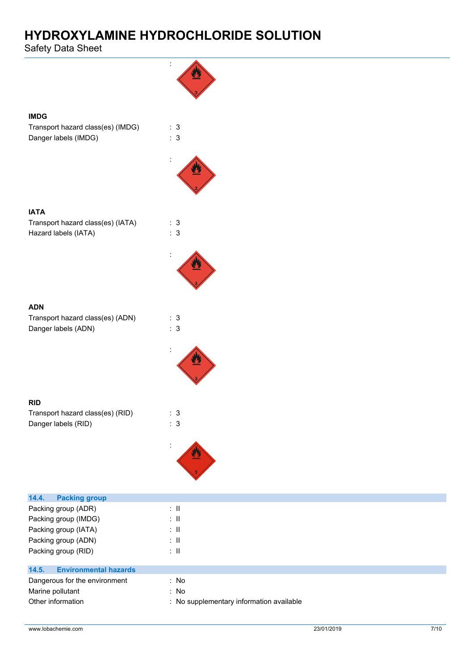Safety Data Sheet

**IMDG**

**IATA**

**ADN**

**RID**

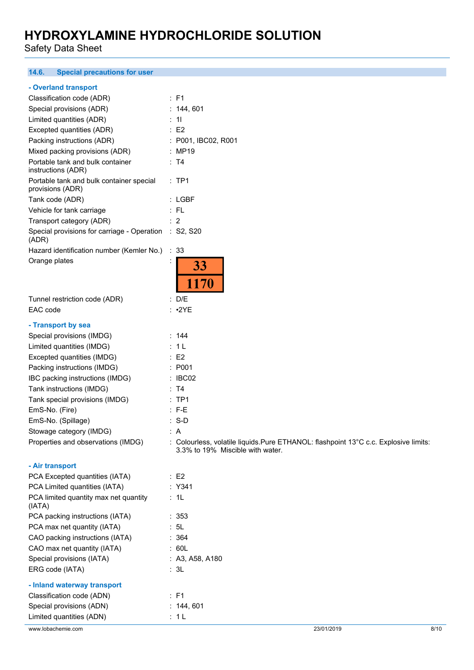Safety Data Sheet

#### **14.6. Special precautions for user**

#### **- Overland transport**

| Classification code (ADR)                                      | : F1                                                                                 |
|----------------------------------------------------------------|--------------------------------------------------------------------------------------|
| Special provisions (ADR)                                       | : 144, 601                                                                           |
| Limited quantities (ADR)                                       | : 11                                                                                 |
| Excepted quantities (ADR)                                      | $\therefore$ E2                                                                      |
| Packing instructions (ADR)                                     | : P001, IBC02, R001                                                                  |
| Mixed packing provisions (ADR)                                 | : MP19                                                                               |
| Portable tank and bulk container<br>instructions (ADR)         | : T4                                                                                 |
| Portable tank and bulk container special<br>provisions (ADR)   | $:$ TP1                                                                              |
| Tank code (ADR)                                                | : LGBF                                                                               |
| Vehicle for tank carriage                                      | $:$ FL                                                                               |
| Transport category (ADR)                                       | $\therefore$ 2                                                                       |
| Special provisions for carriage - Operation : S2, S20<br>(ADR) |                                                                                      |
| Hazard identification number (Kemler No.) : 33                 |                                                                                      |
| Orange plates                                                  | 33<br>1170                                                                           |
| Tunnel restriction code (ADR)                                  | : D/E                                                                                |
| EAC code                                                       | $: \cdot2YE$                                                                         |
|                                                                |                                                                                      |
| - Transport by sea<br>Special provisions (IMDG)                | : 144                                                                                |
| Limited quantities (IMDG)                                      | : 1 L                                                                                |
| Excepted quantities (IMDG)                                     | $\therefore$ E2                                                                      |
| Packing instructions (IMDG)                                    | : P001                                                                               |
| IBC packing instructions (IMDG)                                | $\therefore$ IBC02                                                                   |
| Tank instructions (IMDG)                                       | : T4                                                                                 |
| Tank special provisions (IMDG)                                 | $:$ TP1                                                                              |
| EmS-No. (Fire)                                                 | $:$ F-E                                                                              |
| EmS-No. (Spillage)                                             | $: S-D$                                                                              |
|                                                                | : A                                                                                  |
| Stowage category (IMDG)<br>Properties and observations (IMDG)  | : Colourless, volatile liquids. Pure ETHANOL: flashpoint 13°C c.c. Explosive limits: |
|                                                                | 3.3% to 19% Miscible with water.                                                     |
| - Air transport                                                |                                                                                      |
| PCA Excepted quantities (IATA)                                 | $\therefore$ E2                                                                      |
| PCA Limited quantities (IATA)                                  | : Y341                                                                               |
| PCA limited quantity max net quantity<br>(IATA)                | : 1L                                                                                 |
| PCA packing instructions (IATA)                                | : 353                                                                                |
| PCA max net quantity (IATA)                                    | : 5L                                                                                 |
| CAO packing instructions (IATA)                                | : 364                                                                                |
| CAO max net quantity (IATA)                                    | : 60L                                                                                |
| Special provisions (IATA)                                      | : A3, A58, A180                                                                      |
| ERG code (IATA)                                                | : 3L                                                                                 |
|                                                                |                                                                                      |

#### **- Inland waterway transport**

| Classification code (ADN) | : F1      |            |      |
|---------------------------|-----------|------------|------|
| Special provisions (ADN)  | : 144.601 |            |      |
| Limited quantities (ADN)  | : 1 L     |            |      |
| www.lobachemie.com        |           | 23/01/2019 | 8/10 |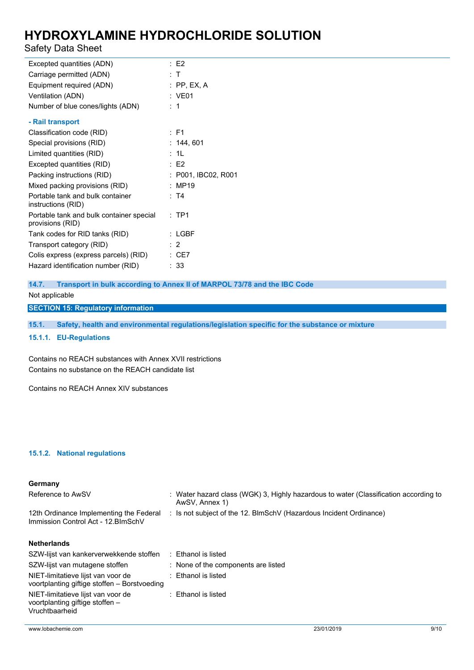### Safety Data Sheet

| Excepted quantities (ADN)                                    | $E$ F2              |
|--------------------------------------------------------------|---------------------|
| Carriage permitted (ADN)                                     | : T                 |
| Equipment required (ADN)                                     | $:$ PP, EX, A       |
| Ventilation (ADN)                                            | : VE01              |
| Number of blue cones/lights (ADN)                            | :1                  |
| - Rail transport                                             |                     |
| Classification code (RID)                                    | $:$ F1              |
| Special provisions (RID)                                     | : 144, 601          |
| Limited quantities (RID)                                     | : 1L                |
| Excepted quantities (RID)                                    | E2                  |
| Packing instructions (RID)                                   | : P001, IBC02, R001 |
| Mixed packing provisions (RID)                               | : MP19              |
| Portable tank and bulk container<br>instructions (RID)       | : T4                |
| Portable tank and bulk container special<br>provisions (RID) | $:$ TP1             |
| Tank codes for RID tanks (RID)                               | $:$ LGBF            |
| Transport category (RID)                                     | : 2                 |
| Colis express (express parcels) (RID)                        | $\therefore$ CE7    |
| Hazard identification number (RID)                           | : 33                |

**14.7. Transport in bulk according to Annex II of MARPOL 73/78 and the IBC Code** Not applicable

**SECTION 15: Regulatory information**

**15.1. Safety, health and environmental regulations/legislation specific for the substance or mixture**

**15.1.1. EU-Regulations**

Contains no REACH substances with Annex XVII restrictions Contains no substance on the REACH candidate list

Contains no REACH Annex XIV substances

#### **15.1.2. National regulations**

#### **Germany**

| Reference to AwSV                                                                       | : Water hazard class (WGK) 3, Highly hazardous to water (Classification according to<br>AwSV, Annex 1) |
|-----------------------------------------------------------------------------------------|--------------------------------------------------------------------------------------------------------|
| 12th Ordinance Implementing the Federal<br>Immission Control Act - 12. BlmSchV          | : Is not subject of the 12. BlmSchV (Hazardous Incident Ordinance)                                     |
| <b>Netherlands</b>                                                                      |                                                                                                        |
| SZW-lijst van kankerverwekkende stoffen                                                 | : Ethanol is listed                                                                                    |
| SZW-lijst van mutagene stoffen                                                          | : None of the components are listed                                                                    |
| NIET-limitatieve lijst van voor de<br>voortplanting giftige stoffen - Borstvoeding      | Ethanol is listed                                                                                      |
| NIET-limitatieve lijst van voor de<br>voortplanting giftige stoffen –<br>Vruchtbaarheid | : Ethanol is listed                                                                                    |